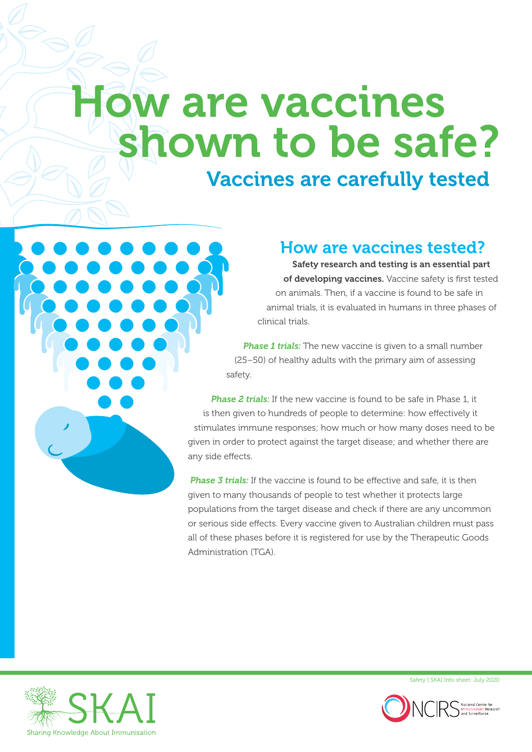# How are vaccines shown to be safe?

## Vaccines are carefully tested



#### How are vaccines tested?

Safety research and testing is an essential part of developing vaccines. Vaccine safety is first tested on animals. Then, if a vaccine is found to be safe in animal trials, it is evaluated in humans in three phases of clinical trials.

*Phase 1 trials:* The new vaccine is given to a small number (25–50) of healthy adults with the primary aim of assessing safety.

**Phase 2 trials:** If the new vaccine is found to be safe in Phase 1, it is then given to hundreds of people to determine: how effectively it stimulates immune responses; how much or how many doses need to be given in order to protect against the target disease; and whether there are any side effects.

*Phase 3 trials:* If the vaccine is found to be effective and safe, it is then given to many thousands of people to test whether it protects large populations from the target disease and check if there are any uncommon or serious side effects. Every vaccine given to Australian children must pass all of these phases before it is registered for use by the Therapeutic Goods Administration (TGA).



Safety | SKAI Info sheet: July 2020